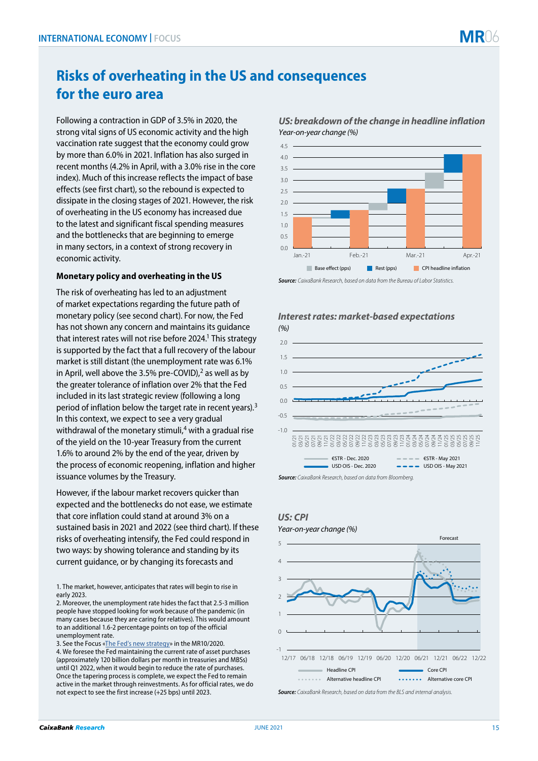# **Risks of overheating in the US and consequences for the euro area**

Following a contraction in GDP of 3.5% in 2020, the strong vital signs of US economic activity and the high vaccination rate suggest that the economy could grow by more than 6.0% in 2021. Inflation has also surged in recent months (4.2% in April, with a 3.0% rise in the core index). Much of this increase reflects the impact of base effects (see first chart), so the rebound is expected to dissipate in the closing stages of 2021. However, the risk of overheating in the US economy has increased due to the latest and significant fiscal spending measures and the bottlenecks that are beginning to emerge in many sectors, in a context of strong recovery in economic activity.

### **Monetary policy and overheating in the US**

The risk of overheating has led to an adjustment of market expectations regarding the future path of monetary policy (see second chart). For now, the Fed has not shown any concern and maintains its guidance that interest rates will not rise before 2024.<sup>1</sup> This strategy is supported by the fact that a full recovery of the labour market is still distant (the unemployment rate was 6.1% in April, well above the 3.5% pre-COVID), $^2$  as well as by the greater tolerance of inflation over 2% that the Fed included in its last strategic review (following a long period of inflation below the target rate in recent years).<sup>3</sup> In this context, we expect to see a very gradual withdrawal of the monetary stimuli, $4$  with a gradual rise of the yield on the 10-year Treasury from the current 1.6% to around 2% by the end of the year, driven by the process of economic reopening, inflation and higher issuance volumes by the Treasury.

However, if the labour market recovers quicker than expected and the bottlenecks do not ease, we estimate that core inflation could stand at around 3% on a sustained basis in 2021 and 2022 (see third chart). If these risks of overheating intensify, the Fed could respond in two ways: by showing tolerance and standing by its current guidance, or by changing its forecasts and

1. The market, however, anticipates that rates will begin to rise in early 2023.

3. See the Focus [«The Fed's new strategy»](https://www.caixabankresearch.com/en/economics-markets/financial-markets/feds-new-strategy?index=) in the MR10/2020. 4. We foresee the Fed maintaining the current rate of asset purchases (approximately 120 billion dollars per month in treasuries and MBSs) until Q1 2022, when it would begin to reduce the rate of purchases. Once the tapering process is complete, we expect the Fed to remain active in the market through reinvestments. As for official rates, we do not expect to see the first increase (+25 bps) until 2023.



*US: breakdown of the change in headline inflation Year-on-year change (%)*





*Source: CaixaBank Research, based on data from Bloomberg.*

## *US: CPI*

# $\mathbf{C}$ 1 2 3 4 5 *Year-on-year change (%)*  Forecast

-1 12/17 06/18 12/18 06/19 12/19 06/20 12/20 06/21 12/21 06/22 12/22 Headline CPI Core CPI **ALTER ALTER ALTERNATIVE headline CPI ALTER ALTERNATIVE CORPLAN** 

*Source: CaixaBank Research, based on data from the BLS and internal analysis.*

<sup>2.</sup> Moreover, the unemployment rate hides the fact that 2.5-3 million people have stopped looking for work because of the pandemic (in many cases because they are caring for relatives). This would amount to an additional 1.6-2 percentage points on top of the official unemployment rate.